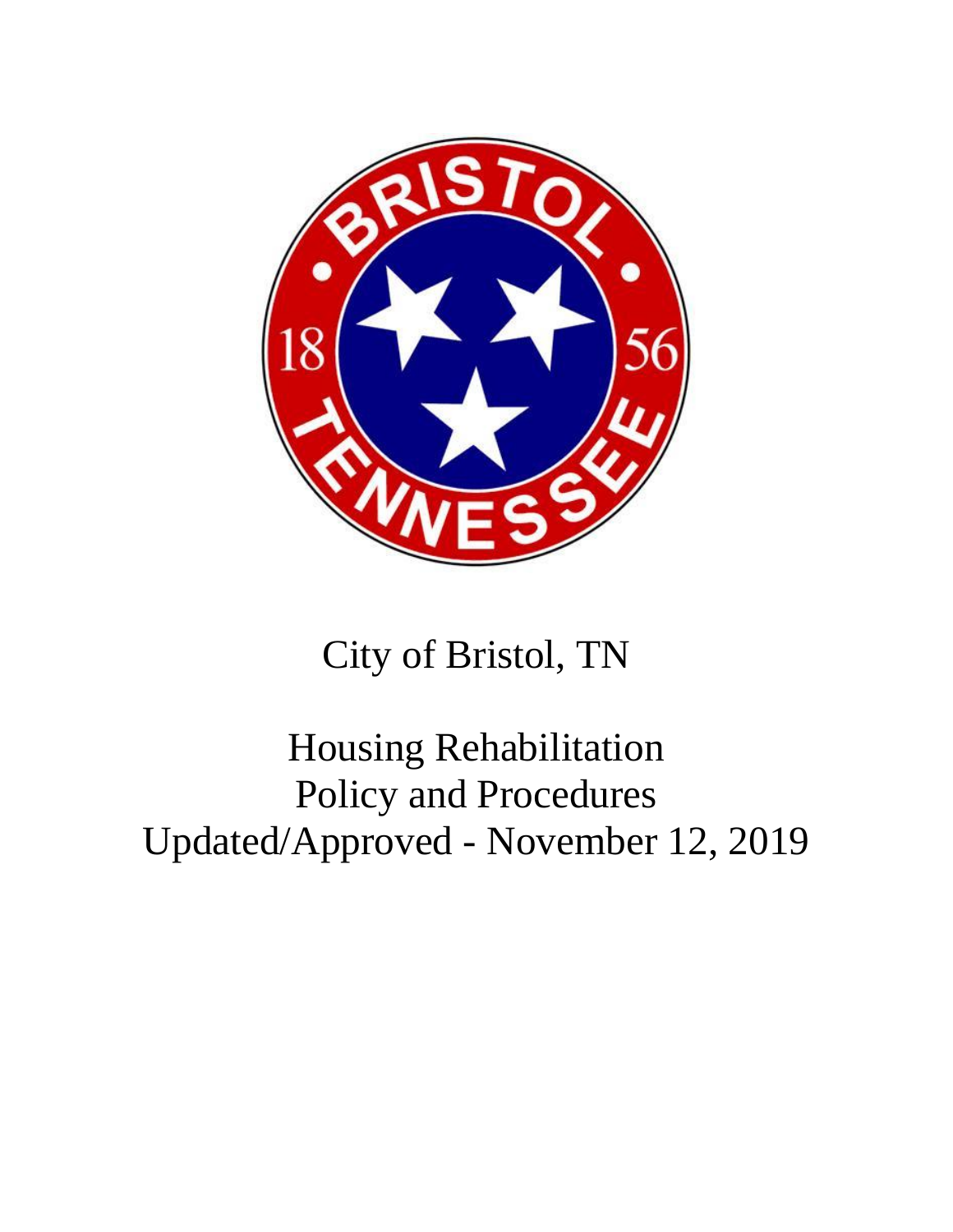

# City of Bristol, TN

# Housing Rehabilitation Policy and Procedures Updated/Approved - November 12, 2019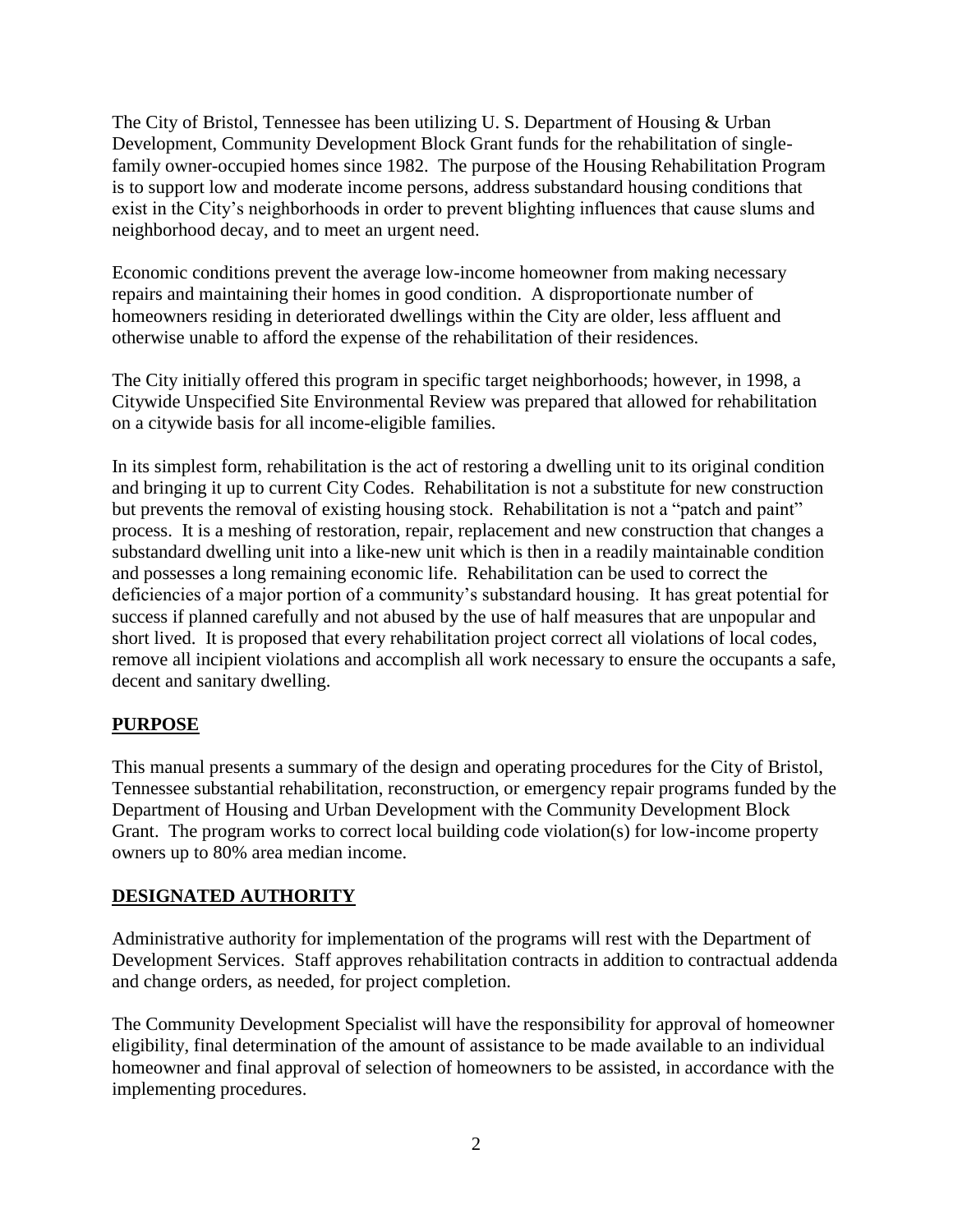The City of Bristol, Tennessee has been utilizing U. S. Department of Housing & Urban Development, Community Development Block Grant funds for the rehabilitation of singlefamily owner-occupied homes since 1982. The purpose of the Housing Rehabilitation Program is to support low and moderate income persons, address substandard housing conditions that exist in the City's neighborhoods in order to prevent blighting influences that cause slums and neighborhood decay, and to meet an urgent need.

Economic conditions prevent the average low-income homeowner from making necessary repairs and maintaining their homes in good condition. A disproportionate number of homeowners residing in deteriorated dwellings within the City are older, less affluent and otherwise unable to afford the expense of the rehabilitation of their residences.

The City initially offered this program in specific target neighborhoods; however, in 1998, a Citywide Unspecified Site Environmental Review was prepared that allowed for rehabilitation on a citywide basis for all income-eligible families.

In its simplest form, rehabilitation is the act of restoring a dwelling unit to its original condition and bringing it up to current City Codes. Rehabilitation is not a substitute for new construction but prevents the removal of existing housing stock. Rehabilitation is not a "patch and paint" process. It is a meshing of restoration, repair, replacement and new construction that changes a substandard dwelling unit into a like-new unit which is then in a readily maintainable condition and possesses a long remaining economic life. Rehabilitation can be used to correct the deficiencies of a major portion of a community's substandard housing. It has great potential for success if planned carefully and not abused by the use of half measures that are unpopular and short lived. It is proposed that every rehabilitation project correct all violations of local codes, remove all incipient violations and accomplish all work necessary to ensure the occupants a safe, decent and sanitary dwelling.

# **PURPOSE**

This manual presents a summary of the design and operating procedures for the City of Bristol, Tennessee substantial rehabilitation, reconstruction, or emergency repair programs funded by the Department of Housing and Urban Development with the Community Development Block Grant. The program works to correct local building code violation(s) for low-income property owners up to 80% area median income.

## **DESIGNATED AUTHORITY**

Administrative authority for implementation of the programs will rest with the Department of Development Services. Staff approves rehabilitation contracts in addition to contractual addenda and change orders, as needed, for project completion.

The Community Development Specialist will have the responsibility for approval of homeowner eligibility, final determination of the amount of assistance to be made available to an individual homeowner and final approval of selection of homeowners to be assisted, in accordance with the implementing procedures.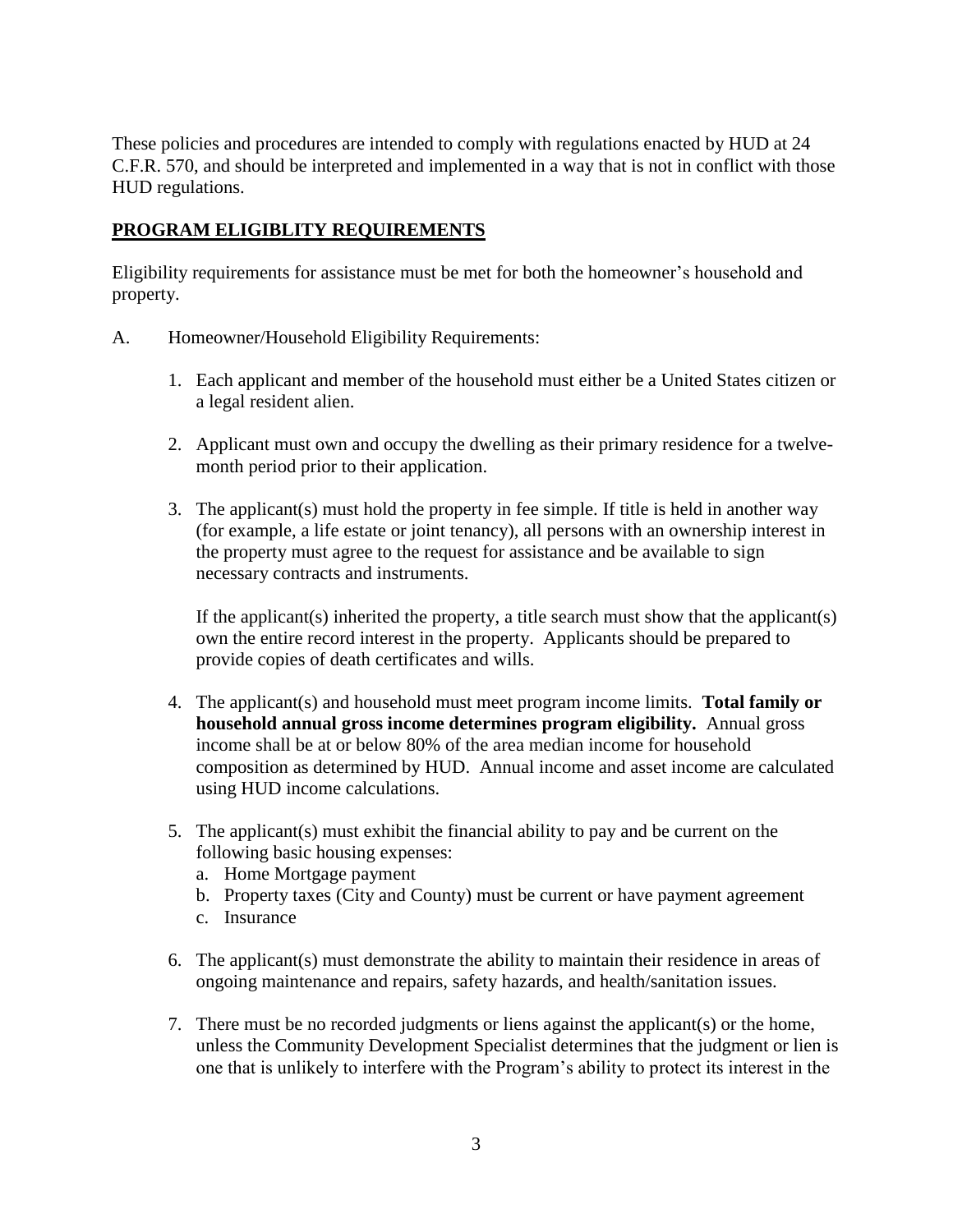These policies and procedures are intended to comply with regulations enacted by HUD at 24 C.F.R. 570, and should be interpreted and implemented in a way that is not in conflict with those HUD regulations.

## **PROGRAM ELIGIBLITY REQUIREMENTS**

Eligibility requirements for assistance must be met for both the homeowner's household and property.

- A. Homeowner/Household Eligibility Requirements:
	- 1. Each applicant and member of the household must either be a United States citizen or a legal resident alien.
	- 2. Applicant must own and occupy the dwelling as their primary residence for a twelvemonth period prior to their application.
	- 3. The applicant(s) must hold the property in fee simple. If title is held in another way (for example, a life estate or joint tenancy), all persons with an ownership interest in the property must agree to the request for assistance and be available to sign necessary contracts and instruments.

If the applicant(s) inherited the property, a title search must show that the applicant(s) own the entire record interest in the property. Applicants should be prepared to provide copies of death certificates and wills.

- 4. The applicant(s) and household must meet program income limits. **Total family or household annual gross income determines program eligibility.** Annual gross income shall be at or below 80% of the area median income for household composition as determined by HUD. Annual income and asset income are calculated using HUD income calculations.
- 5. The applicant(s) must exhibit the financial ability to pay and be current on the following basic housing expenses:
	- a. Home Mortgage payment
	- b. Property taxes (City and County) must be current or have payment agreement
	- c. Insurance
- 6. The applicant(s) must demonstrate the ability to maintain their residence in areas of ongoing maintenance and repairs, safety hazards, and health/sanitation issues.
- 7. There must be no recorded judgments or liens against the applicant(s) or the home, unless the Community Development Specialist determines that the judgment or lien is one that is unlikely to interfere with the Program's ability to protect its interest in the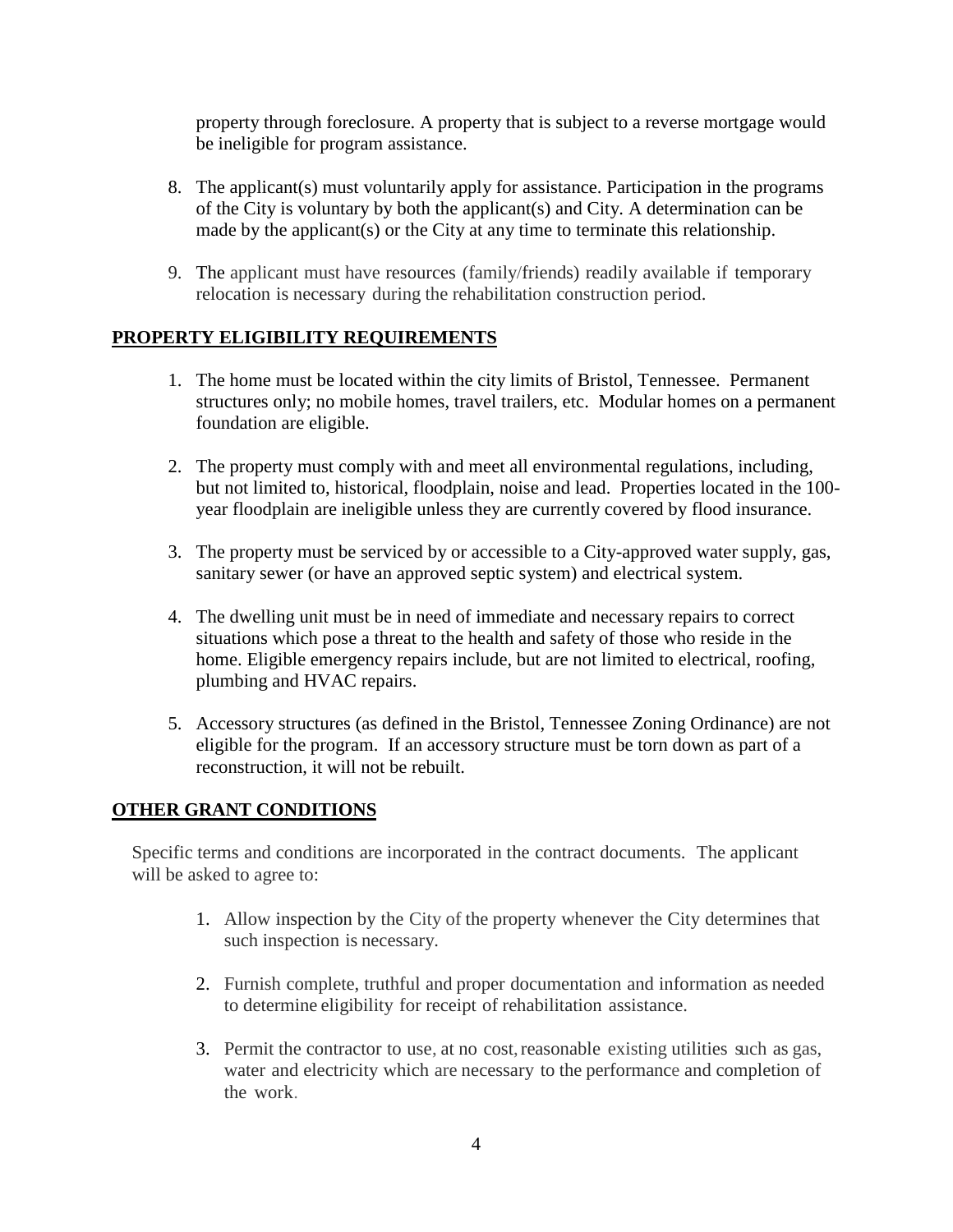property through foreclosure. A property that is subject to a reverse mortgage would be ineligible for program assistance.

- 8. The applicant(s) must voluntarily apply for assistance. Participation in the programs of the City is voluntary by both the applicant(s) and City. A determination can be made by the applicant(s) or the City at any time to terminate this relationship.
- 9. The applicant must have resources (family/friends) readily available if temporary relocation is necessary during the rehabilitation construction period.

# **PROPERTY ELIGIBILITY REQUIREMENTS**

- 1. The home must be located within the city limits of Bristol, Tennessee. Permanent structures only; no mobile homes, travel trailers, etc. Modular homes on a permanent foundation are eligible.
- 2. The property must comply with and meet all environmental regulations, including, but not limited to, historical, floodplain, noise and lead. Properties located in the 100 year floodplain are ineligible unless they are currently covered by flood insurance.
- 3. The property must be serviced by or accessible to a City-approved water supply, gas, sanitary sewer (or have an approved septic system) and electrical system.
- 4. The dwelling unit must be in need of immediate and necessary repairs to correct situations which pose a threat to the health and safety of those who reside in the home. Eligible emergency repairs include, but are not limited to electrical, roofing, plumbing and HVAC repairs.
- 5. Accessory structures (as defined in the Bristol, Tennessee Zoning Ordinance) are not eligible for the program. If an accessory structure must be torn down as part of a reconstruction, it will not be rebuilt.

## **OTHER GRANT CONDITIONS**

Specific terms and conditions are incorporated in the contract documents. The applicant will be asked to agree to:

- 1. Allow inspection by the City of the property whenever the City determines that such inspection is necessary.
- 2. Furnish complete, truthful and proper documentation and information as needed to determine eligibility for receipt of rehabilitation assistance.
- 3. Permit the contractor to use, at no cost, reasonable existing utilities such as gas, water and electricity which are necessary to the performance and completion of the work.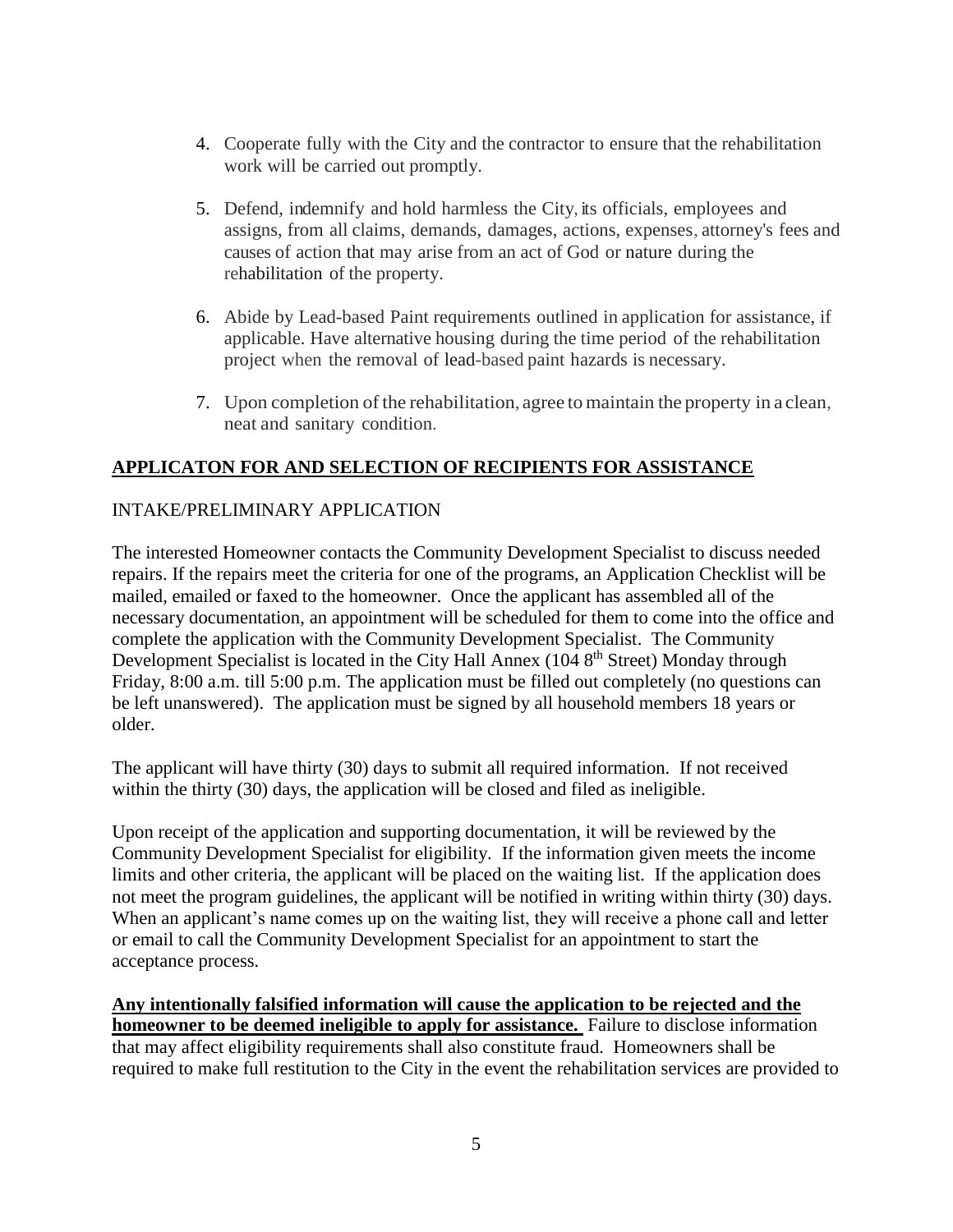- 4. Cooperate fully with the City and the contractor to ensure that the rehabilitation work will be carried out promptly.
- 5. Defend, indemnify and hold harmless the City, its officials, employees and assigns, from all claims, demands, damages, actions, expenses, attorney's fees and causes of action that may arise from an act of God or nature during the rehabilitation of the property.
- 6. Abide by Lead-based Paint requirements outlined in application for assistance, if applicable. Have alternative housing during the time period of the rehabilitation project when the removal of lead-based paint hazards is necessary.
- 7. Upon completion of the rehabilitation, agree to maintain the property in a clean, neat and sanitary condition.

# **APPLICATON FOR AND SELECTION OF RECIPIENTS FOR ASSISTANCE**

# INTAKE/PRELIMINARY APPLICATION

The interested Homeowner contacts the Community Development Specialist to discuss needed repairs. If the repairs meet the criteria for one of the programs, an Application Checklist will be mailed, emailed or faxed to the homeowner. Once the applicant has assembled all of the necessary documentation, an appointment will be scheduled for them to come into the office and complete the application with the Community Development Specialist. The Community Development Specialist is located in the City Hall Annex ( $1048<sup>th</sup>$  Street) Monday through Friday, 8:00 a.m. till 5:00 p.m. The application must be filled out completely (no questions can be left unanswered). The application must be signed by all household members 18 years or older.

The applicant will have thirty (30) days to submit all required information. If not received within the thirty (30) days, the application will be closed and filed as ineligible.

Upon receipt of the application and supporting documentation, it will be reviewed by the Community Development Specialist for eligibility. If the information given meets the income limits and other criteria, the applicant will be placed on the waiting list. If the application does not meet the program guidelines, the applicant will be notified in writing within thirty (30) days. When an applicant's name comes up on the waiting list, they will receive a phone call and letter or email to call the Community Development Specialist for an appointment to start the acceptance process.

**Any intentionally falsified information will cause the application to be rejected and the homeowner to be deemed ineligible to apply for assistance.** Failure to disclose information that may affect eligibility requirements shall also constitute fraud. Homeowners shall be required to make full restitution to the City in the event the rehabilitation services are provided to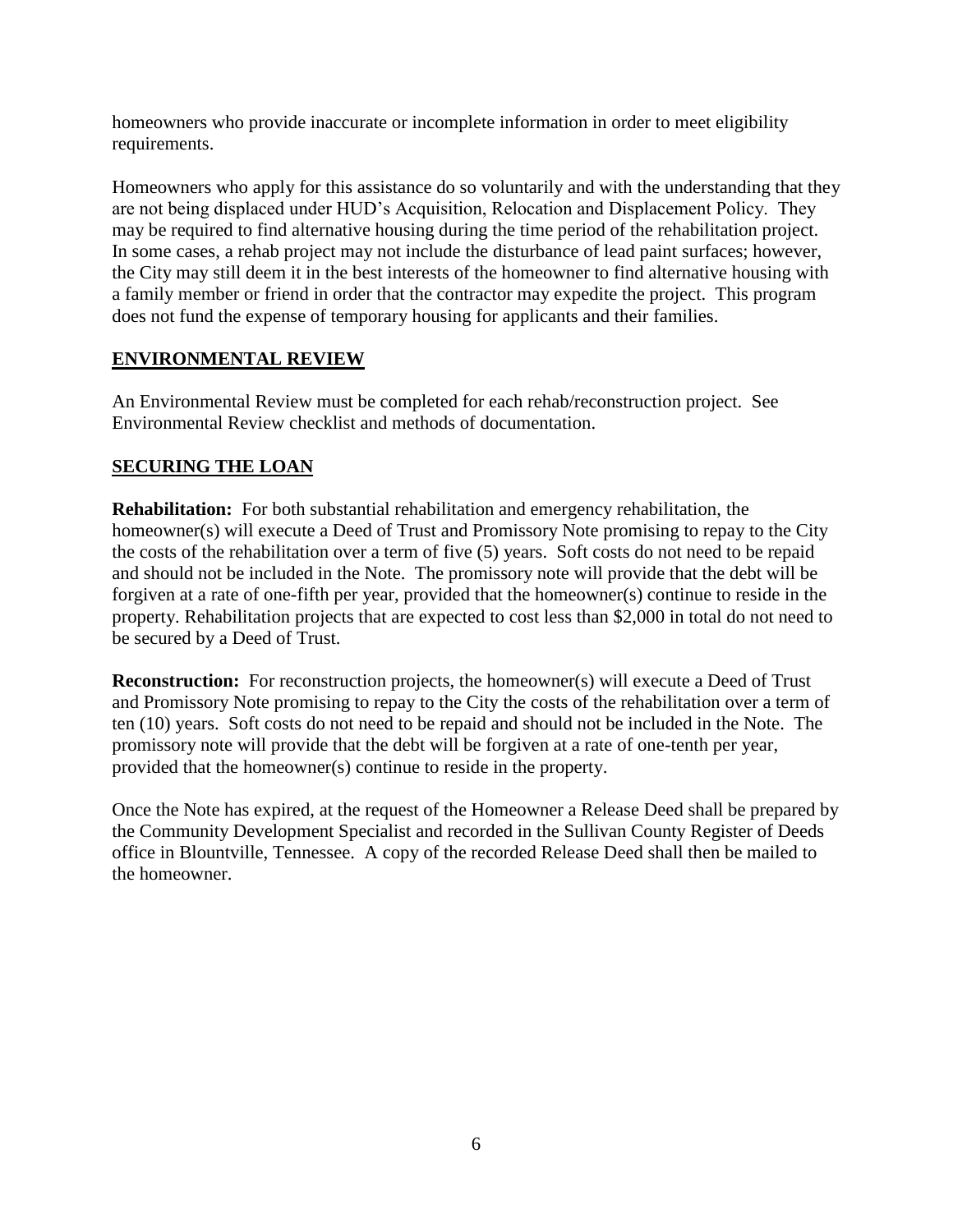homeowners who provide inaccurate or incomplete information in order to meet eligibility requirements.

Homeowners who apply for this assistance do so voluntarily and with the understanding that they are not being displaced under HUD's Acquisition, Relocation and Displacement Policy. They may be required to find alternative housing during the time period of the rehabilitation project. In some cases, a rehab project may not include the disturbance of lead paint surfaces; however, the City may still deem it in the best interests of the homeowner to find alternative housing with a family member or friend in order that the contractor may expedite the project. This program does not fund the expense of temporary housing for applicants and their families.

# **ENVIRONMENTAL REVIEW**

An Environmental Review must be completed for each rehab/reconstruction project. See Environmental Review checklist and methods of documentation.

# **SECURING THE LOAN**

**Rehabilitation:** For both substantial rehabilitation and emergency rehabilitation, the homeowner(s) will execute a Deed of Trust and Promissory Note promising to repay to the City the costs of the rehabilitation over a term of five (5) years. Soft costs do not need to be repaid and should not be included in the Note. The promissory note will provide that the debt will be forgiven at a rate of one-fifth per year, provided that the homeowner(s) continue to reside in the property. Rehabilitation projects that are expected to cost less than \$2,000 in total do not need to be secured by a Deed of Trust.

**Reconstruction:** For reconstruction projects, the homeowner(s) will execute a Deed of Trust and Promissory Note promising to repay to the City the costs of the rehabilitation over a term of ten (10) years. Soft costs do not need to be repaid and should not be included in the Note. The promissory note will provide that the debt will be forgiven at a rate of one-tenth per year, provided that the homeowner(s) continue to reside in the property.

Once the Note has expired, at the request of the Homeowner a Release Deed shall be prepared by the Community Development Specialist and recorded in the Sullivan County Register of Deeds office in Blountville, Tennessee. A copy of the recorded Release Deed shall then be mailed to the homeowner.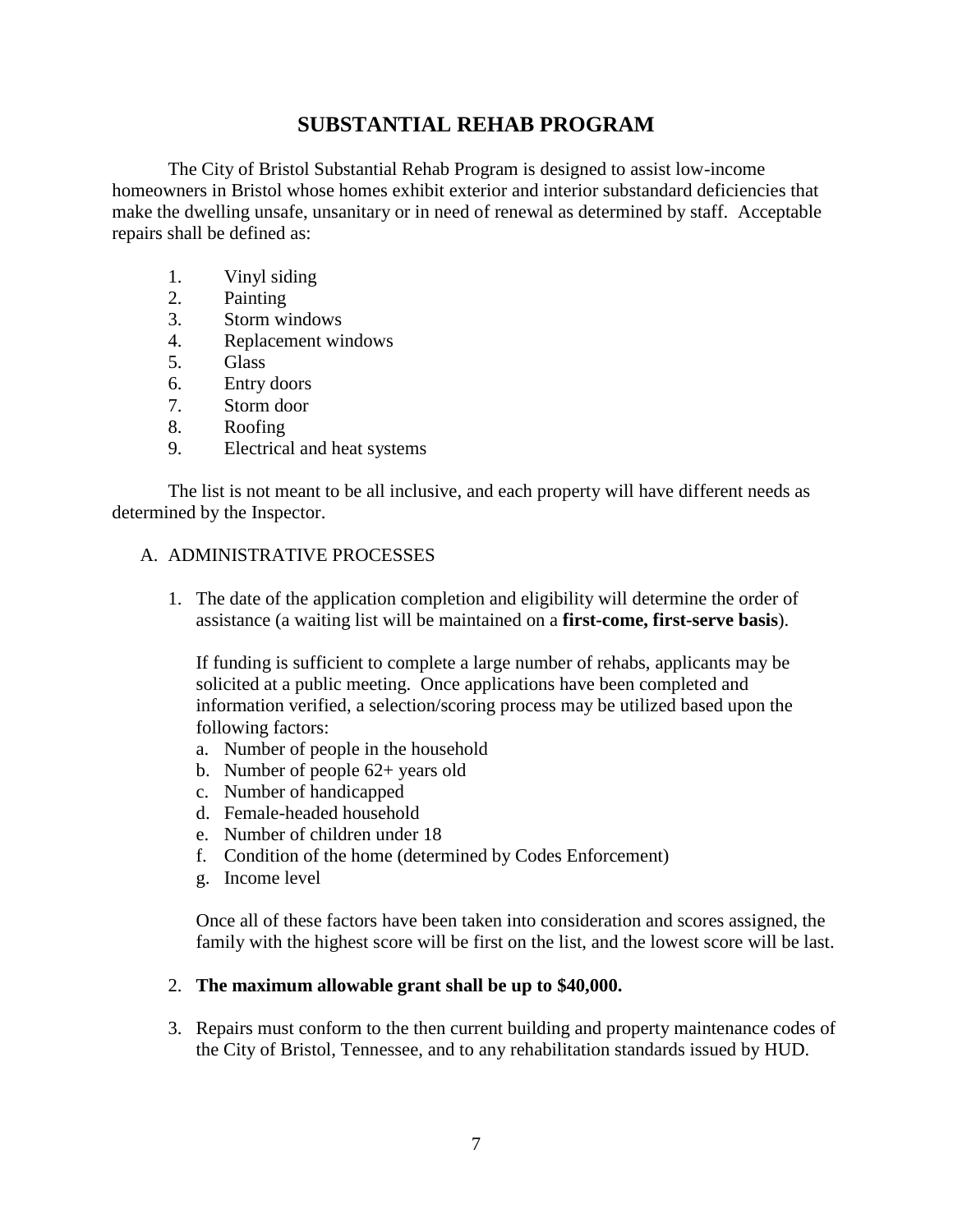# **SUBSTANTIAL REHAB PROGRAM**

The City of Bristol Substantial Rehab Program is designed to assist low-income homeowners in Bristol whose homes exhibit exterior and interior substandard deficiencies that make the dwelling unsafe, unsanitary or in need of renewal as determined by staff. Acceptable repairs shall be defined as:

- 1. Vinyl siding
- 2. Painting
- 3. Storm windows
- 4. Replacement windows
- 5. Glass
- 6. Entry doors
- 7. Storm door
- 8. Roofing
- 9. Electrical and heat systems

The list is not meant to be all inclusive, and each property will have different needs as determined by the Inspector.

#### A. ADMINISTRATIVE PROCESSES

1. The date of the application completion and eligibility will determine the order of assistance (a waiting list will be maintained on a **first-come, first-serve basis**).

If funding is sufficient to complete a large number of rehabs, applicants may be solicited at a public meeting. Once applications have been completed and information verified, a selection/scoring process may be utilized based upon the following factors:

- a. Number of people in the household
- b. Number of people 62+ years old
- c. Number of handicapped
- d. Female-headed household
- e. Number of children under 18
- f. Condition of the home (determined by Codes Enforcement)
- g. Income level

Once all of these factors have been taken into consideration and scores assigned, the family with the highest score will be first on the list, and the lowest score will be last.

#### 2. **The maximum allowable grant shall be up to \$40,000.**

3. Repairs must conform to the then current building and property maintenance codes of the City of Bristol, Tennessee, and to any rehabilitation standards issued by HUD.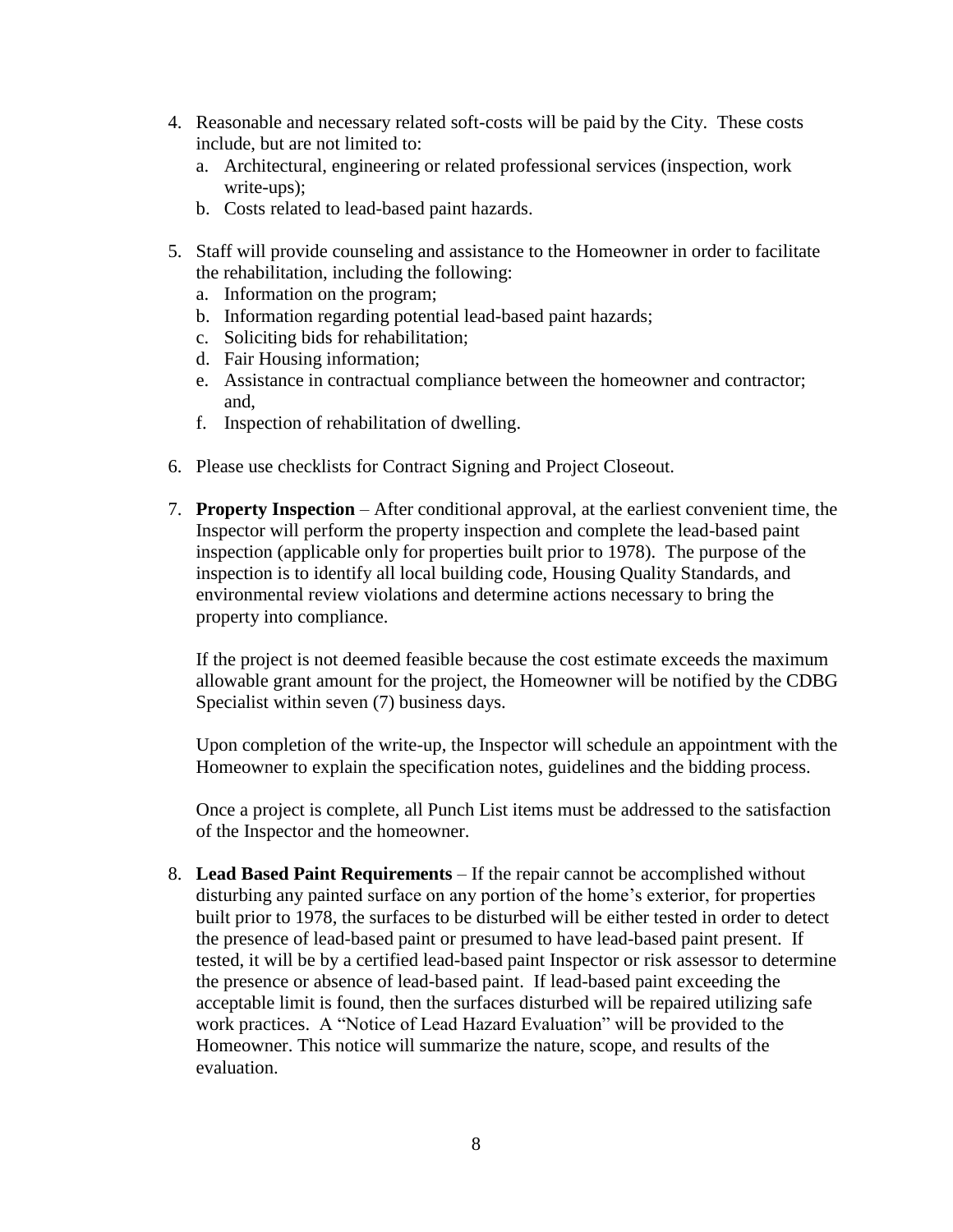- 4. Reasonable and necessary related soft-costs will be paid by the City. These costs include, but are not limited to:
	- a. Architectural, engineering or related professional services (inspection, work write-ups);
	- b. Costs related to lead-based paint hazards.
- 5. Staff will provide counseling and assistance to the Homeowner in order to facilitate the rehabilitation, including the following:
	- a. Information on the program;
	- b. Information regarding potential lead-based paint hazards;
	- c. Soliciting bids for rehabilitation;
	- d. Fair Housing information;
	- e. Assistance in contractual compliance between the homeowner and contractor; and,
	- f. Inspection of rehabilitation of dwelling.
- 6. Please use checklists for Contract Signing and Project Closeout.
- 7. **Property Inspection** After conditional approval, at the earliest convenient time, the Inspector will perform the property inspection and complete the lead-based paint inspection (applicable only for properties built prior to 1978). The purpose of the inspection is to identify all local building code, Housing Quality Standards, and environmental review violations and determine actions necessary to bring the property into compliance.

If the project is not deemed feasible because the cost estimate exceeds the maximum allowable grant amount for the project, the Homeowner will be notified by the CDBG Specialist within seven (7) business days.

Upon completion of the write-up, the Inspector will schedule an appointment with the Homeowner to explain the specification notes, guidelines and the bidding process.

Once a project is complete, all Punch List items must be addressed to the satisfaction of the Inspector and the homeowner.

8. **Lead Based Paint Requirements** – If the repair cannot be accomplished without disturbing any painted surface on any portion of the home's exterior, for properties built prior to 1978, the surfaces to be disturbed will be either tested in order to detect the presence of lead-based paint or presumed to have lead-based paint present. If tested, it will be by a certified lead-based paint Inspector or risk assessor to determine the presence or absence of lead-based paint. If lead-based paint exceeding the acceptable limit is found, then the surfaces disturbed will be repaired utilizing safe work practices. A "Notice of Lead Hazard Evaluation" will be provided to the Homeowner. This notice will summarize the nature, scope, and results of the evaluation.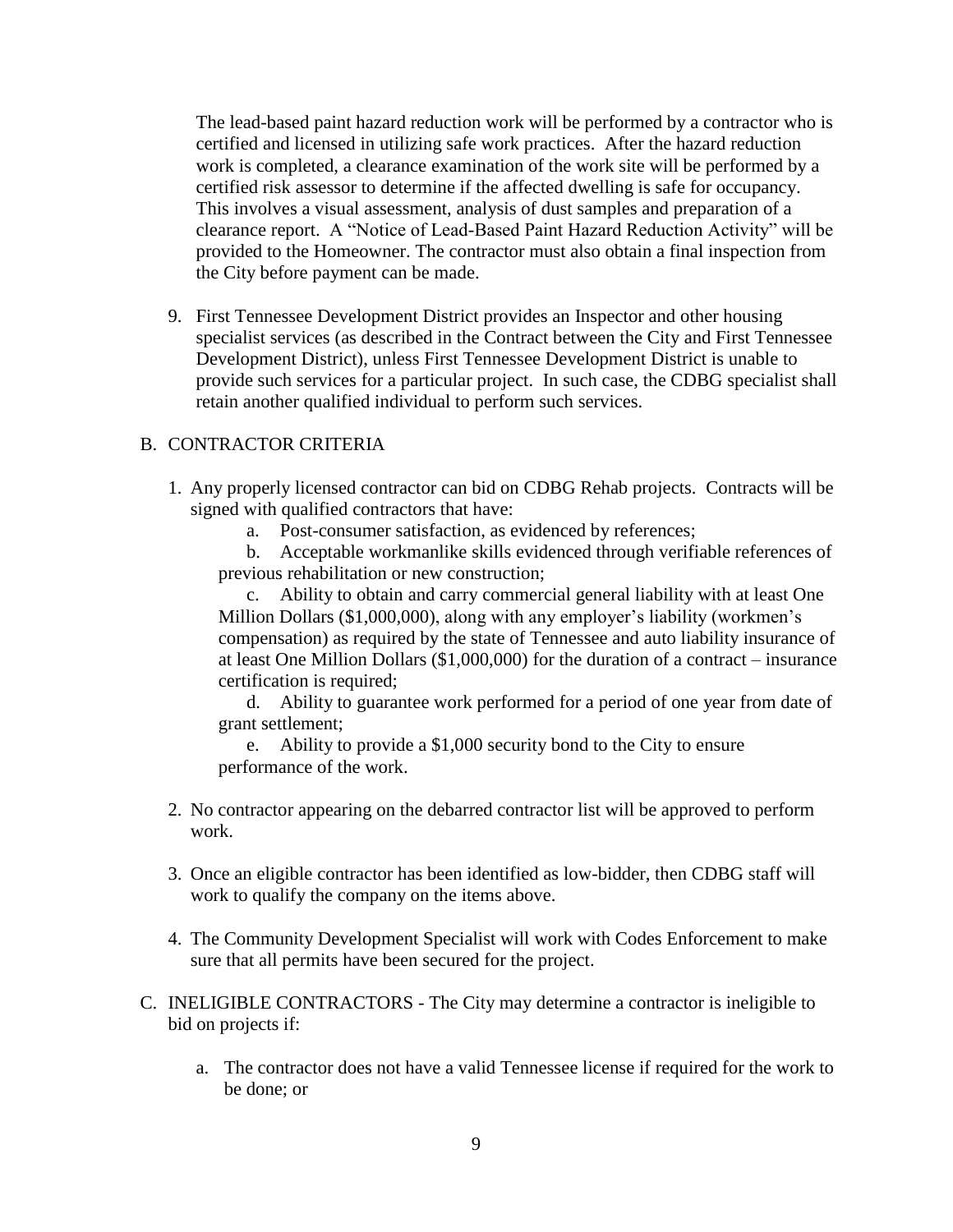The lead-based paint hazard reduction work will be performed by a contractor who is certified and licensed in utilizing safe work practices. After the hazard reduction work is completed, a clearance examination of the work site will be performed by a certified risk assessor to determine if the affected dwelling is safe for occupancy. This involves a visual assessment, analysis of dust samples and preparation of a clearance report. A "Notice of Lead-Based Paint Hazard Reduction Activity" will be provided to the Homeowner. The contractor must also obtain a final inspection from the City before payment can be made.

9. First Tennessee Development District provides an Inspector and other housing specialist services (as described in the Contract between the City and First Tennessee Development District), unless First Tennessee Development District is unable to provide such services for a particular project. In such case, the CDBG specialist shall retain another qualified individual to perform such services.

# B. CONTRACTOR CRITERIA

- 1. Any properly licensed contractor can bid on CDBG Rehab projects. Contracts will be signed with qualified contractors that have:
	- a. Post-consumer satisfaction, as evidenced by references;

b. Acceptable workmanlike skills evidenced through verifiable references of previous rehabilitation or new construction;

c. Ability to obtain and carry commercial general liability with at least One Million Dollars (\$1,000,000), along with any employer's liability (workmen's compensation) as required by the state of Tennessee and auto liability insurance of at least One Million Dollars (\$1,000,000) for the duration of a contract – insurance certification is required;

d. Ability to guarantee work performed for a period of one year from date of grant settlement;

e. Ability to provide a \$1,000 security bond to the City to ensure performance of the work.

- 2. No contractor appearing on the debarred contractor list will be approved to perform work.
- 3. Once an eligible contractor has been identified as low-bidder, then CDBG staff will work to qualify the company on the items above.
- 4. The Community Development Specialist will work with Codes Enforcement to make sure that all permits have been secured for the project.
- C. INELIGIBLE CONTRACTORS The City may determine a contractor is ineligible to bid on projects if:
	- a. The contractor does not have a valid Tennessee license if required for the work to be done; or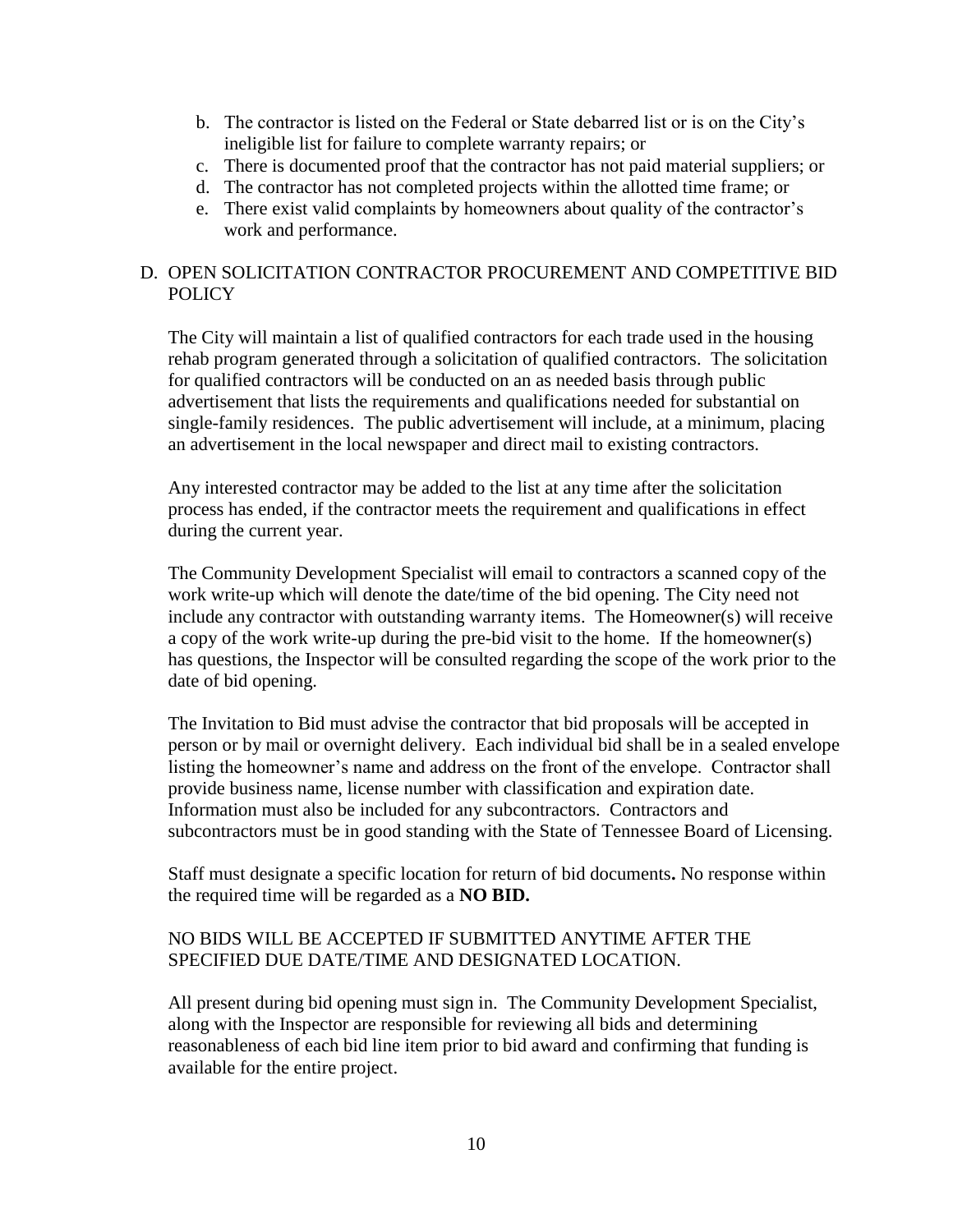- b. The contractor is listed on the Federal or State debarred list or is on the City's ineligible list for failure to complete warranty repairs; or
- c. There is documented proof that the contractor has not paid material suppliers; or
- d. The contractor has not completed projects within the allotted time frame; or
- e. There exist valid complaints by homeowners about quality of the contractor's work and performance.

## D. OPEN SOLICITATION CONTRACTOR PROCUREMENT AND COMPETITIVE BID **POLICY**

The City will maintain a list of qualified contractors for each trade used in the housing rehab program generated through a solicitation of qualified contractors. The solicitation for qualified contractors will be conducted on an as needed basis through public advertisement that lists the requirements and qualifications needed for substantial on single-family residences. The public advertisement will include, at a minimum, placing an advertisement in the local newspaper and direct mail to existing contractors.

Any interested contractor may be added to the list at any time after the solicitation process has ended, if the contractor meets the requirement and qualifications in effect during the current year.

The Community Development Specialist will email to contractors a scanned copy of the work write-up which will denote the date/time of the bid opening. The City need not include any contractor with outstanding warranty items. The Homeowner(s) will receive a copy of the work write-up during the pre-bid visit to the home. If the homeowner(s) has questions, the Inspector will be consulted regarding the scope of the work prior to the date of bid opening.

The Invitation to Bid must advise the contractor that bid proposals will be accepted in person or by mail or overnight delivery. Each individual bid shall be in a sealed envelope listing the homeowner's name and address on the front of the envelope. Contractor shall provide business name, license number with classification and expiration date. Information must also be included for any subcontractors. Contractors and subcontractors must be in good standing with the State of Tennessee Board of Licensing.

Staff must designate a specific location for return of bid documents**.** No response within the required time will be regarded as a **NO BID.**

## NO BIDS WILL BE ACCEPTED IF SUBMITTED ANYTIME AFTER THE SPECIFIED DUE DATE/TIME AND DESIGNATED LOCATION.

All present during bid opening must sign in. The Community Development Specialist, along with the Inspector are responsible for reviewing all bids and determining reasonableness of each bid line item prior to bid award and confirming that funding is available for the entire project.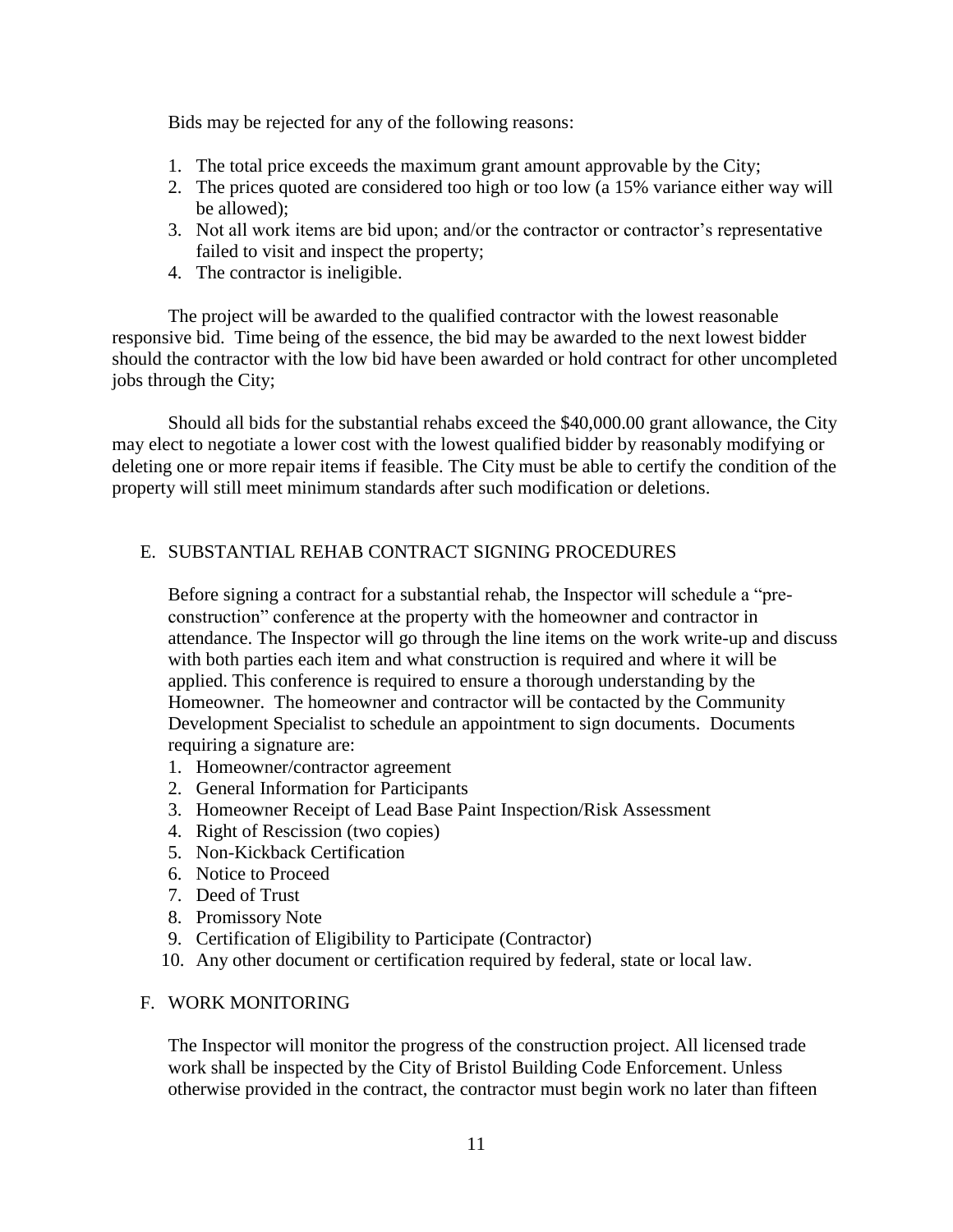Bids may be rejected for any of the following reasons:

- 1. The total price exceeds the maximum grant amount approvable by the City;
- 2. The prices quoted are considered too high or too low (a 15% variance either way will be allowed);
- 3. Not all work items are bid upon; and/or the contractor or contractor's representative failed to visit and inspect the property;
- 4. The contractor is ineligible.

The project will be awarded to the qualified contractor with the lowest reasonable responsive bid. Time being of the essence, the bid may be awarded to the next lowest bidder should the contractor with the low bid have been awarded or hold contract for other uncompleted jobs through the City;

Should all bids for the substantial rehabs exceed the \$40,000.00 grant allowance, the City may elect to negotiate a lower cost with the lowest qualified bidder by reasonably modifying or deleting one or more repair items if feasible. The City must be able to certify the condition of the property will still meet minimum standards after such modification or deletions.

## E. SUBSTANTIAL REHAB CONTRACT SIGNING PROCEDURES

Before signing a contract for a substantial rehab, the Inspector will schedule a "preconstruction" conference at the property with the homeowner and contractor in attendance. The Inspector will go through the line items on the work write-up and discuss with both parties each item and what construction is required and where it will be applied. This conference is required to ensure a thorough understanding by the Homeowner. The homeowner and contractor will be contacted by the Community Development Specialist to schedule an appointment to sign documents. Documents requiring a signature are:

- 1. Homeowner/contractor agreement
- 2. General Information for Participants
- 3. Homeowner Receipt of Lead Base Paint Inspection/Risk Assessment
- 4. Right of Rescission (two copies)
- 5. Non-Kickback Certification
- 6. Notice to Proceed
- 7. Deed of Trust
- 8. Promissory Note
- 9. Certification of Eligibility to Participate (Contractor)
- 10. Any other document or certification required by federal, state or local law.

#### F. WORK MONITORING

The Inspector will monitor the progress of the construction project. All licensed trade work shall be inspected by the City of Bristol Building Code Enforcement. Unless otherwise provided in the contract, the contractor must begin work no later than fifteen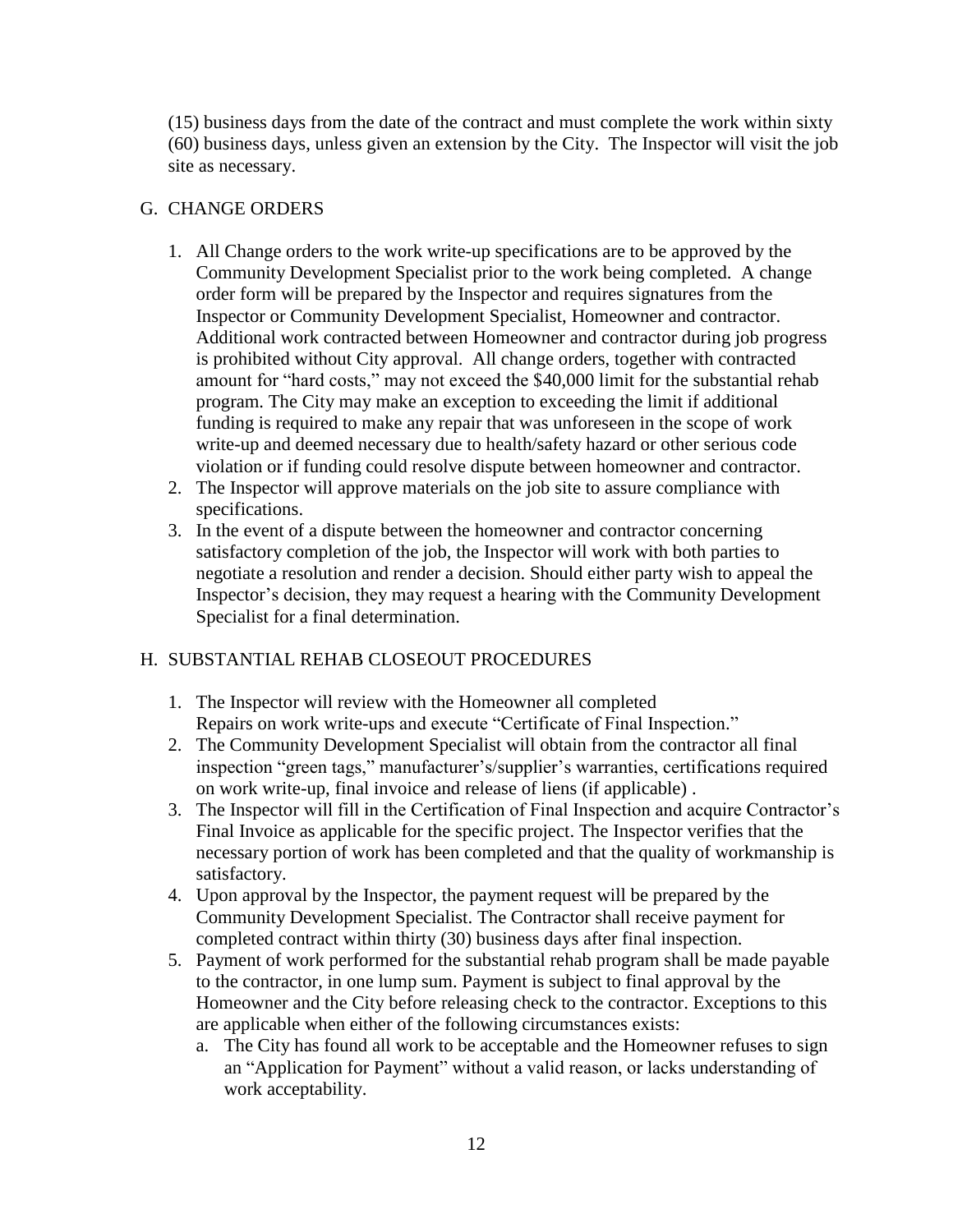(15) business days from the date of the contract and must complete the work within sixty (60) business days, unless given an extension by the City. The Inspector will visit the job site as necessary.

## G. CHANGE ORDERS

- 1. All Change orders to the work write-up specifications are to be approved by the Community Development Specialist prior to the work being completed. A change order form will be prepared by the Inspector and requires signatures from the Inspector or Community Development Specialist, Homeowner and contractor. Additional work contracted between Homeowner and contractor during job progress is prohibited without City approval. All change orders, together with contracted amount for "hard costs," may not exceed the \$40,000 limit for the substantial rehab program. The City may make an exception to exceeding the limit if additional funding is required to make any repair that was unforeseen in the scope of work write-up and deemed necessary due to health/safety hazard or other serious code violation or if funding could resolve dispute between homeowner and contractor.
- 2. The Inspector will approve materials on the job site to assure compliance with specifications.
- 3. In the event of a dispute between the homeowner and contractor concerning satisfactory completion of the job, the Inspector will work with both parties to negotiate a resolution and render a decision. Should either party wish to appeal the Inspector's decision, they may request a hearing with the Community Development Specialist for a final determination.

## H. SUBSTANTIAL REHAB CLOSEOUT PROCEDURES

- 1. The Inspector will review with the Homeowner all completed Repairs on work write-ups and execute "Certificate of Final Inspection."
- 2. The Community Development Specialist will obtain from the contractor all final inspection "green tags," manufacturer's/supplier's warranties, certifications required on work write-up, final invoice and release of liens (if applicable) .
- 3. The Inspector will fill in the Certification of Final Inspection and acquire Contractor's Final Invoice as applicable for the specific project. The Inspector verifies that the necessary portion of work has been completed and that the quality of workmanship is satisfactory.
- 4. Upon approval by the Inspector, the payment request will be prepared by the Community Development Specialist. The Contractor shall receive payment for completed contract within thirty (30) business days after final inspection.
- 5. Payment of work performed for the substantial rehab program shall be made payable to the contractor, in one lump sum. Payment is subject to final approval by the Homeowner and the City before releasing check to the contractor. Exceptions to this are applicable when either of the following circumstances exists:
	- a. The City has found all work to be acceptable and the Homeowner refuses to sign an "Application for Payment" without a valid reason, or lacks understanding of work acceptability.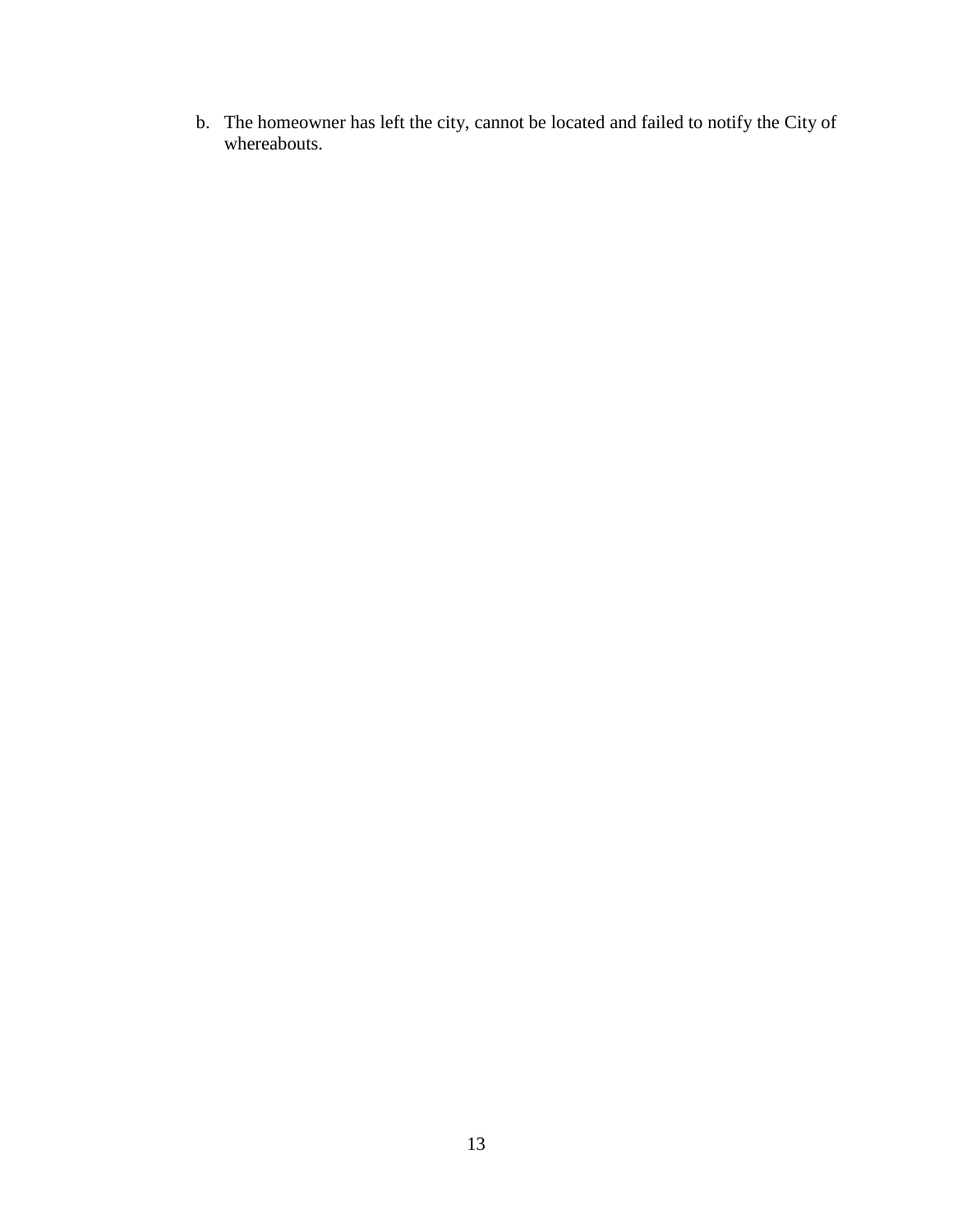b. The homeowner has left the city, cannot be located and failed to notify the City of whereabouts.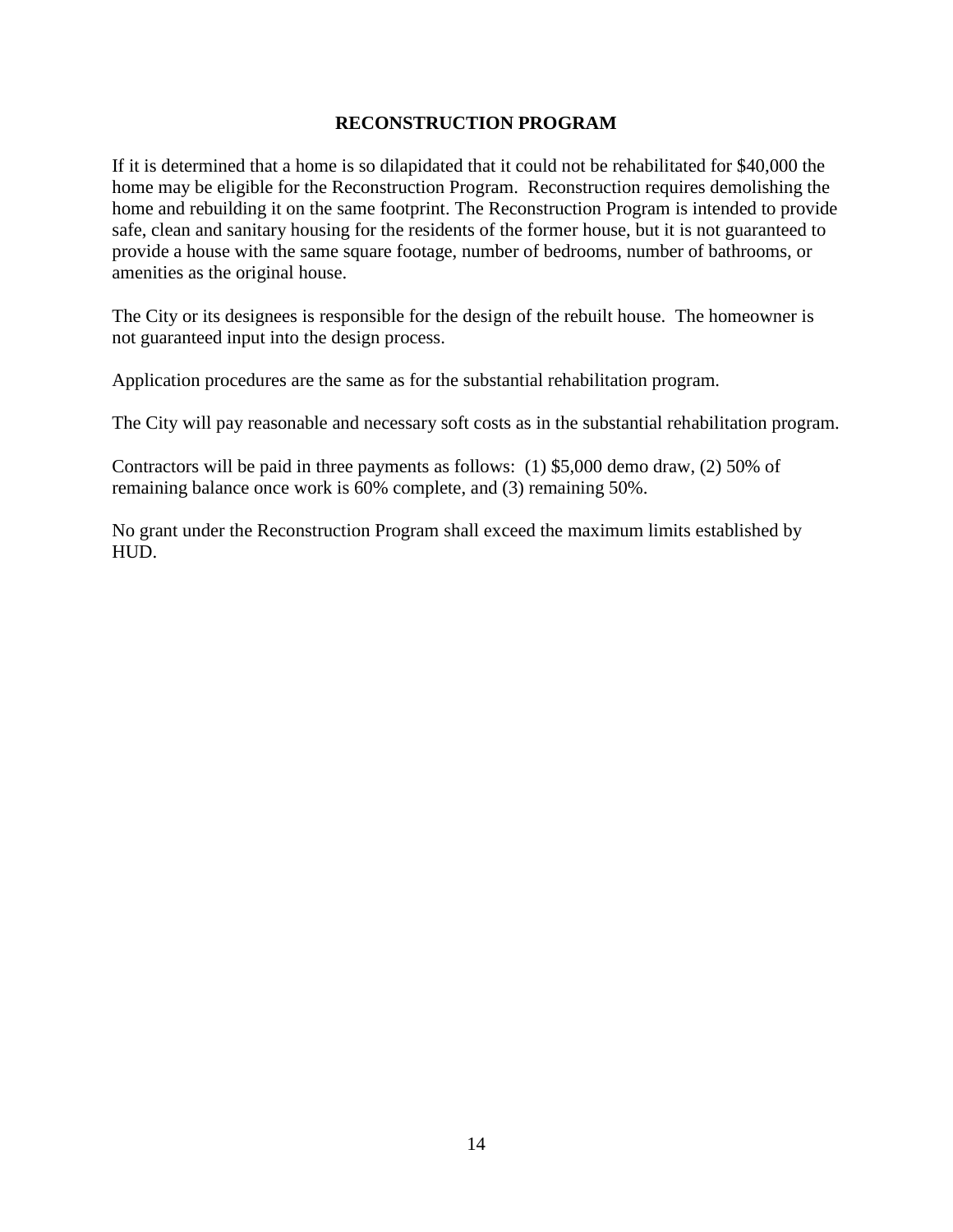#### **RECONSTRUCTION PROGRAM**

If it is determined that a home is so dilapidated that it could not be rehabilitated for \$40,000 the home may be eligible for the Reconstruction Program. Reconstruction requires demolishing the home and rebuilding it on the same footprint. The Reconstruction Program is intended to provide safe, clean and sanitary housing for the residents of the former house, but it is not guaranteed to provide a house with the same square footage, number of bedrooms, number of bathrooms, or amenities as the original house.

The City or its designees is responsible for the design of the rebuilt house. The homeowner is not guaranteed input into the design process.

Application procedures are the same as for the substantial rehabilitation program.

The City will pay reasonable and necessary soft costs as in the substantial rehabilitation program.

Contractors will be paid in three payments as follows: (1) \$5,000 demo draw, (2) 50% of remaining balance once work is 60% complete, and (3) remaining 50%.

No grant under the Reconstruction Program shall exceed the maximum limits established by HUD.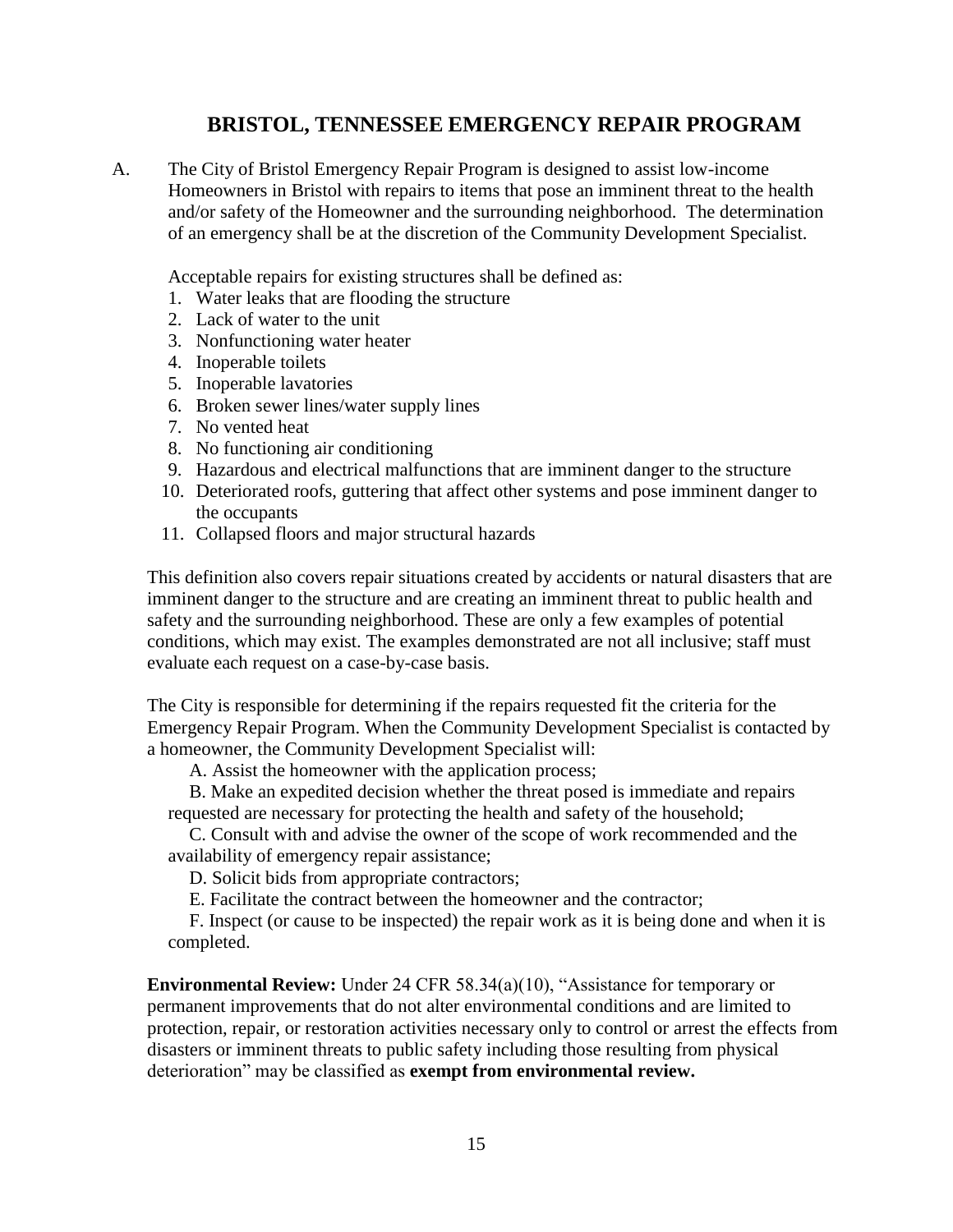# **BRISTOL, TENNESSEE EMERGENCY REPAIR PROGRAM**

A. The City of Bristol Emergency Repair Program is designed to assist low-income Homeowners in Bristol with repairs to items that pose an imminent threat to the health and/or safety of the Homeowner and the surrounding neighborhood. The determination of an emergency shall be at the discretion of the Community Development Specialist.

Acceptable repairs for existing structures shall be defined as:

- 1. Water leaks that are flooding the structure
- 2. Lack of water to the unit
- 3. Nonfunctioning water heater
- 4. Inoperable toilets
- 5. Inoperable lavatories
- 6. Broken sewer lines/water supply lines
- 7. No vented heat
- 8. No functioning air conditioning
- 9. Hazardous and electrical malfunctions that are imminent danger to the structure
- 10. Deteriorated roofs, guttering that affect other systems and pose imminent danger to the occupants
- 11. Collapsed floors and major structural hazards

This definition also covers repair situations created by accidents or natural disasters that are imminent danger to the structure and are creating an imminent threat to public health and safety and the surrounding neighborhood. These are only a few examples of potential conditions, which may exist. The examples demonstrated are not all inclusive; staff must evaluate each request on a case-by-case basis.

The City is responsible for determining if the repairs requested fit the criteria for the Emergency Repair Program. When the Community Development Specialist is contacted by a homeowner, the Community Development Specialist will:

A. Assist the homeowner with the application process;

B. Make an expedited decision whether the threat posed is immediate and repairs requested are necessary for protecting the health and safety of the household;

C. Consult with and advise the owner of the scope of work recommended and the availability of emergency repair assistance;

D. Solicit bids from appropriate contractors;

E. Facilitate the contract between the homeowner and the contractor;

F. Inspect (or cause to be inspected) the repair work as it is being done and when it is completed.

**Environmental Review:** Under 24 CFR 58.34(a)(10), "Assistance for temporary or permanent improvements that do not alter environmental conditions and are limited to protection, repair, or restoration activities necessary only to control or arrest the effects from disasters or imminent threats to public safety including those resulting from physical deterioration" may be classified as **exempt from environmental review.**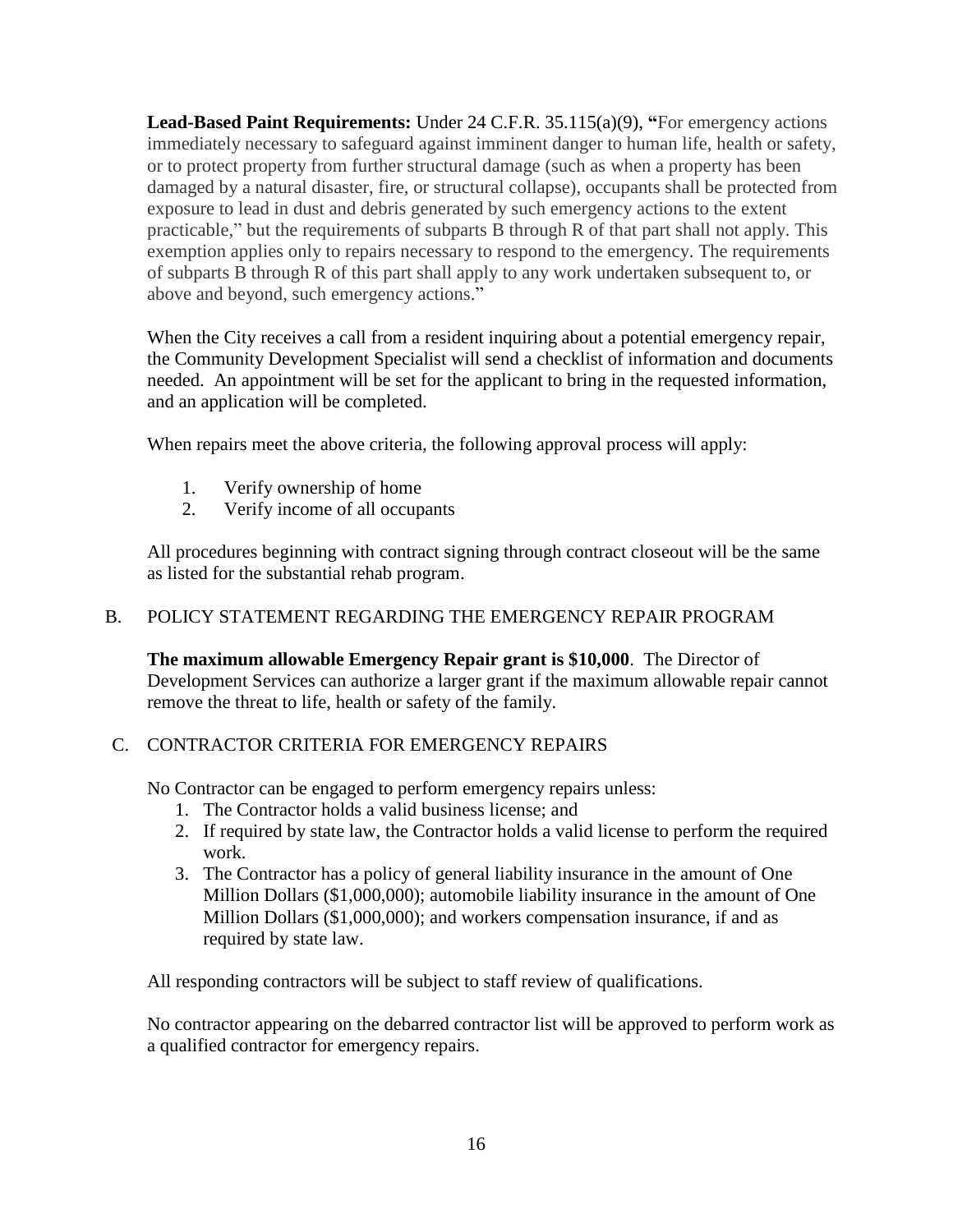**Lead-Based Paint Requirements:** Under 24 C.F.R. 35.115(a)(9), **"**For emergency actions immediately necessary to safeguard against imminent danger to human life, health or safety, or to protect property from further structural damage (such as when a property has been damaged by a natural disaster, fire, or structural collapse), occupants shall be protected from exposure to lead in dust and debris generated by such emergency actions to the extent practicable," but the requirements of subparts B through R of that part shall not apply. This exemption applies only to repairs necessary to respond to the emergency. The requirements of subparts B through R of this part shall apply to any work undertaken subsequent to, or above and beyond, such emergency actions."

When the City receives a call from a resident inquiring about a potential emergency repair, the Community Development Specialist will send a checklist of information and documents needed. An appointment will be set for the applicant to bring in the requested information, and an application will be completed.

When repairs meet the above criteria, the following approval process will apply:

- 1. Verify ownership of home
- 2. Verify income of all occupants

All procedures beginning with contract signing through contract closeout will be the same as listed for the substantial rehab program.

## B. POLICY STATEMENT REGARDING THE EMERGENCY REPAIR PROGRAM

**The maximum allowable Emergency Repair grant is \$10,000**. The Director of Development Services can authorize a larger grant if the maximum allowable repair cannot remove the threat to life, health or safety of the family.

# C. CONTRACTOR CRITERIA FOR EMERGENCY REPAIRS

No Contractor can be engaged to perform emergency repairs unless:

- 1. The Contractor holds a valid business license; and
- 2. If required by state law, the Contractor holds a valid license to perform the required work.
- 3. The Contractor has a policy of general liability insurance in the amount of One Million Dollars (\$1,000,000); automobile liability insurance in the amount of One Million Dollars (\$1,000,000); and workers compensation insurance, if and as required by state law.

All responding contractors will be subject to staff review of qualifications.

No contractor appearing on the debarred contractor list will be approved to perform work as a qualified contractor for emergency repairs.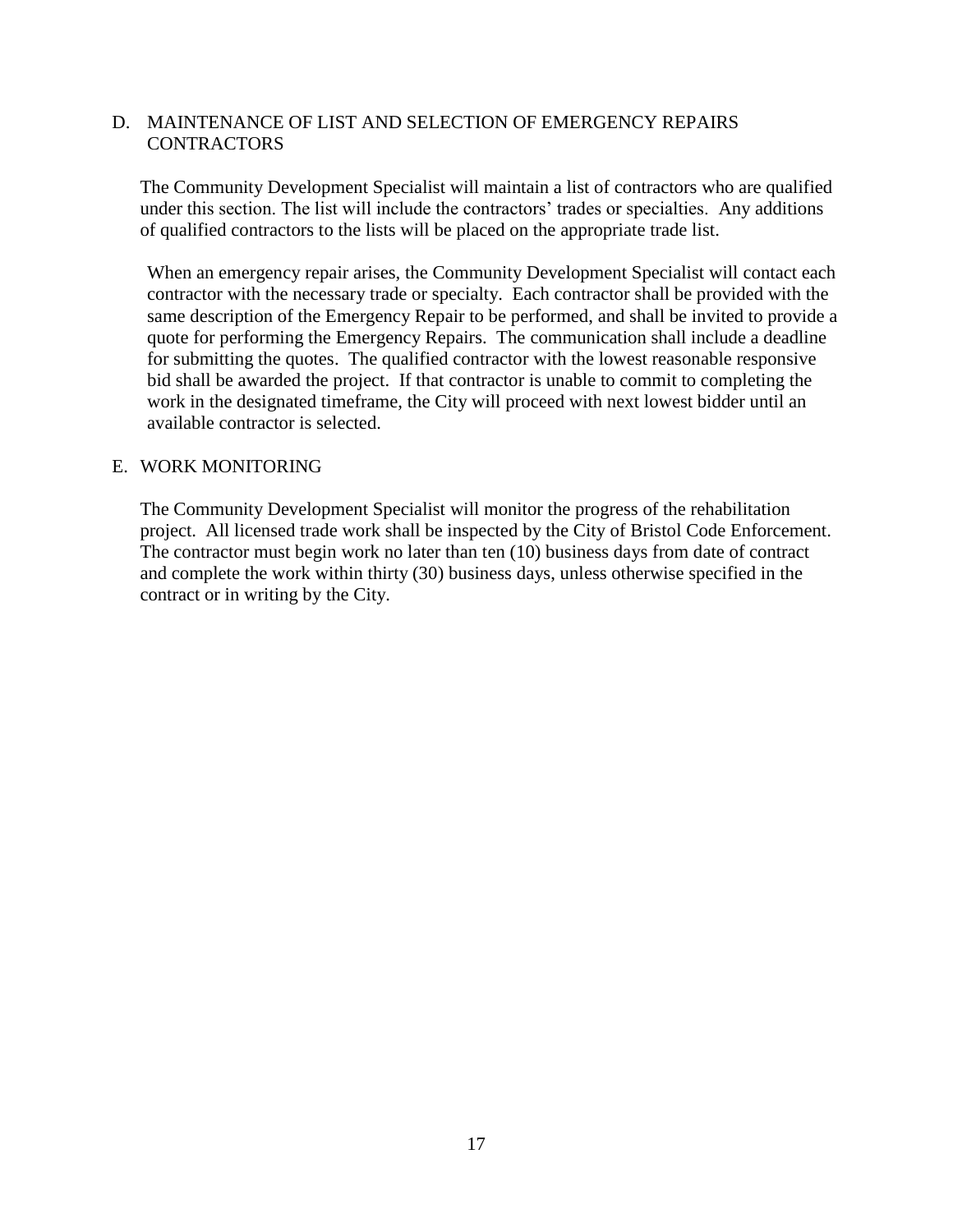## D. MAINTENANCE OF LIST AND SELECTION OF EMERGENCY REPAIRS **CONTRACTORS**

The Community Development Specialist will maintain a list of contractors who are qualified under this section. The list will include the contractors' trades or specialties. Any additions of qualified contractors to the lists will be placed on the appropriate trade list.

When an emergency repair arises, the Community Development Specialist will contact each contractor with the necessary trade or specialty. Each contractor shall be provided with the same description of the Emergency Repair to be performed, and shall be invited to provide a quote for performing the Emergency Repairs. The communication shall include a deadline for submitting the quotes. The qualified contractor with the lowest reasonable responsive bid shall be awarded the project. If that contractor is unable to commit to completing the work in the designated timeframe, the City will proceed with next lowest bidder until an available contractor is selected.

#### E. WORK MONITORING

The Community Development Specialist will monitor the progress of the rehabilitation project. All licensed trade work shall be inspected by the City of Bristol Code Enforcement. The contractor must begin work no later than ten (10) business days from date of contract and complete the work within thirty (30) business days, unless otherwise specified in the contract or in writing by the City.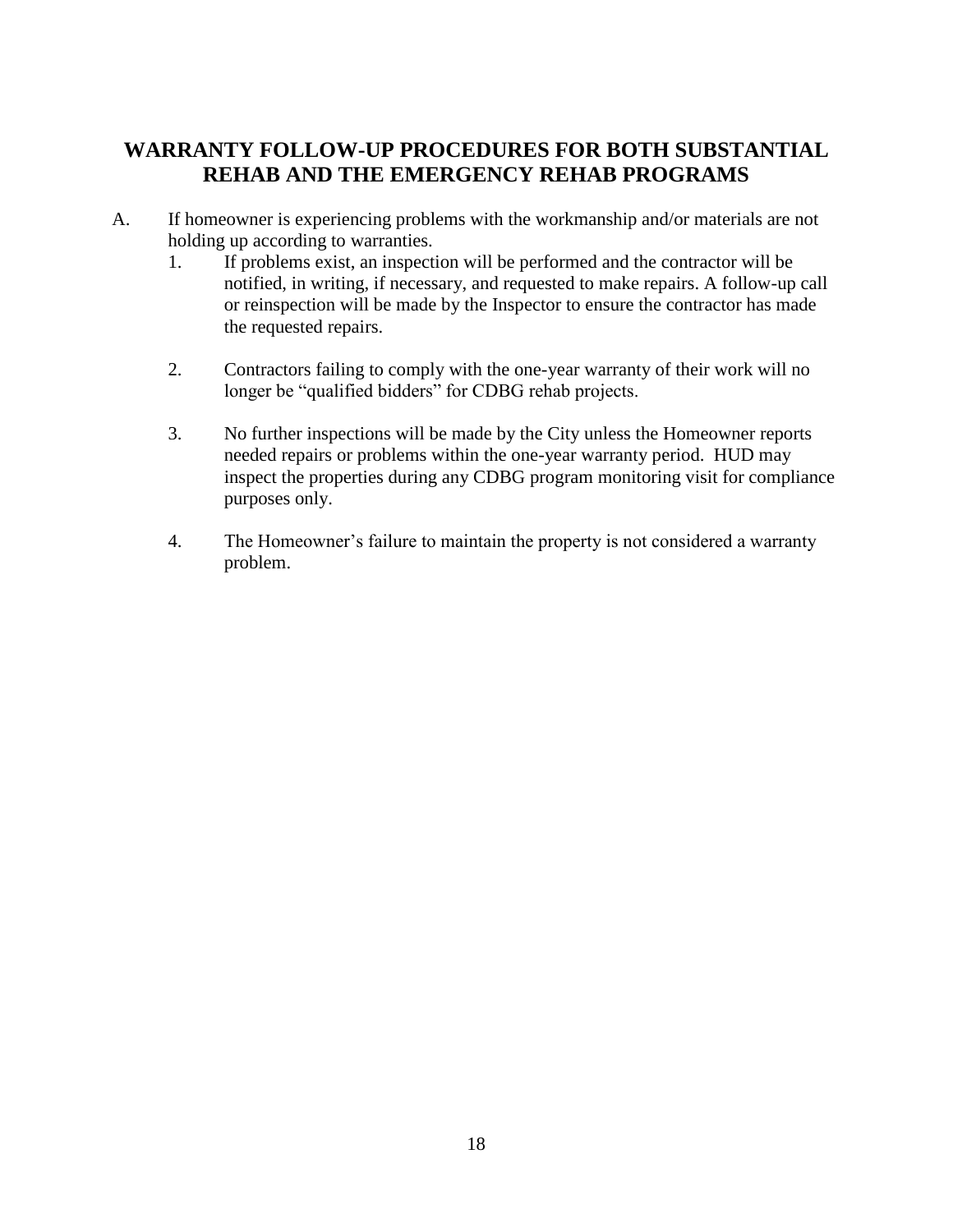# **WARRANTY FOLLOW-UP PROCEDURES FOR BOTH SUBSTANTIAL REHAB AND THE EMERGENCY REHAB PROGRAMS**

- A. If homeowner is experiencing problems with the workmanship and/or materials are not holding up according to warranties.
	- 1. If problems exist, an inspection will be performed and the contractor will be notified, in writing, if necessary, and requested to make repairs. A follow-up call or reinspection will be made by the Inspector to ensure the contractor has made the requested repairs.
	- 2. Contractors failing to comply with the one-year warranty of their work will no longer be "qualified bidders" for CDBG rehab projects.
	- 3. No further inspections will be made by the City unless the Homeowner reports needed repairs or problems within the one-year warranty period. HUD may inspect the properties during any CDBG program monitoring visit for compliance purposes only.
	- 4. The Homeowner's failure to maintain the property is not considered a warranty problem.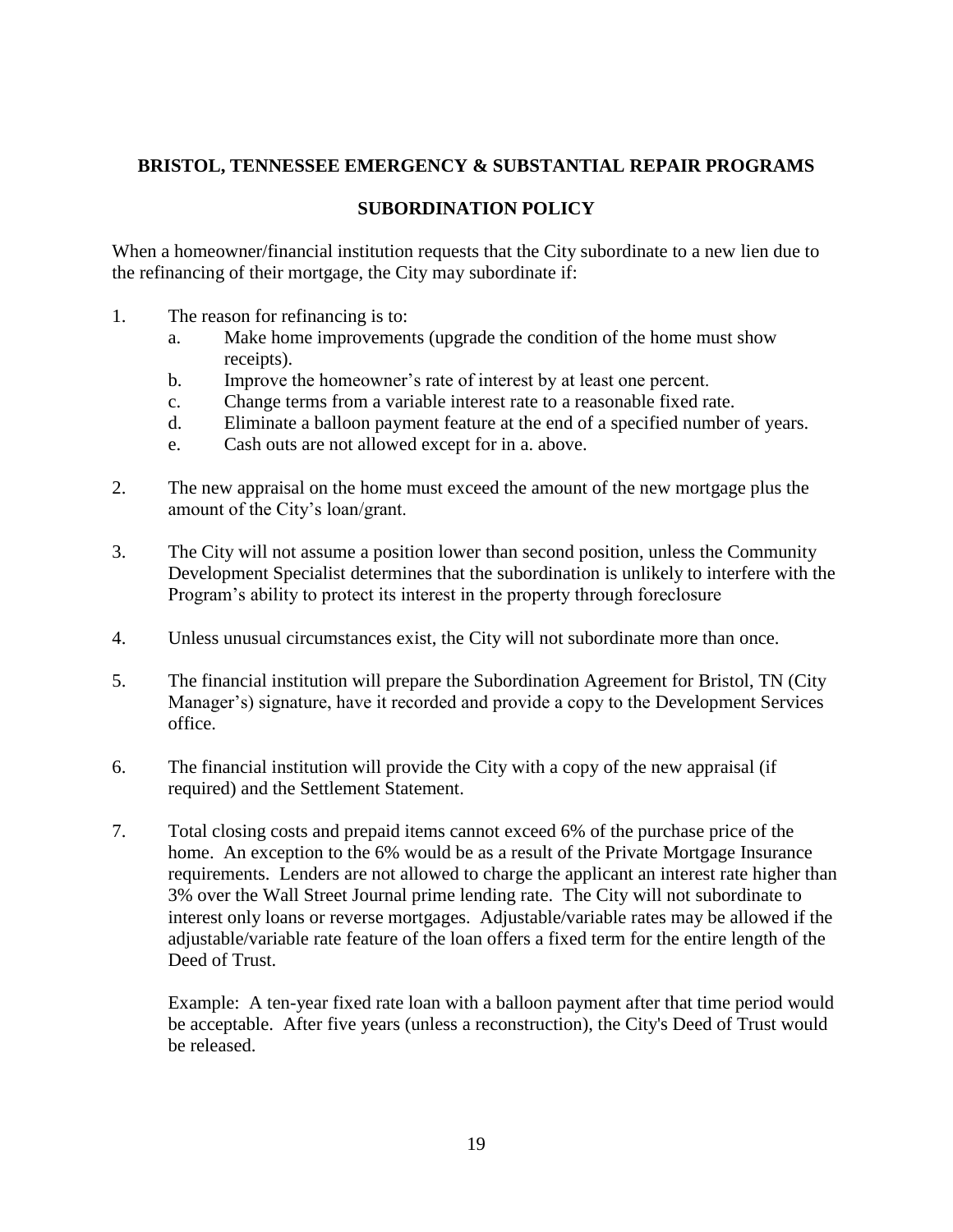# **BRISTOL, TENNESSEE EMERGENCY & SUBSTANTIAL REPAIR PROGRAMS**

## **SUBORDINATION POLICY**

When a homeowner/financial institution requests that the City subordinate to a new lien due to the refinancing of their mortgage, the City may subordinate if:

- 1. The reason for refinancing is to:
	- a. Make home improvements (upgrade the condition of the home must show receipts).
	- b. Improve the homeowner's rate of interest by at least one percent.
	- c. Change terms from a variable interest rate to a reasonable fixed rate.
	- d. Eliminate a balloon payment feature at the end of a specified number of years.
	- e. Cash outs are not allowed except for in a. above.
- 2. The new appraisal on the home must exceed the amount of the new mortgage plus the amount of the City's loan/grant.
- 3. The City will not assume a position lower than second position, unless the Community Development Specialist determines that the subordination is unlikely to interfere with the Program's ability to protect its interest in the property through foreclosure
- 4. Unless unusual circumstances exist, the City will not subordinate more than once.
- 5. The financial institution will prepare the Subordination Agreement for Bristol, TN (City Manager's) signature, have it recorded and provide a copy to the Development Services office.
- 6. The financial institution will provide the City with a copy of the new appraisal (if required) and the Settlement Statement.
- 7. Total closing costs and prepaid items cannot exceed 6% of the purchase price of the home. An exception to the 6% would be as a result of the Private Mortgage Insurance requirements. Lenders are not allowed to charge the applicant an interest rate higher than 3% over the Wall Street Journal prime lending rate. The City will not subordinate to interest only loans or reverse mortgages. Adjustable/variable rates may be allowed if the adjustable/variable rate feature of the loan offers a fixed term for the entire length of the Deed of Trust.

Example: A ten-year fixed rate loan with a balloon payment after that time period would be acceptable. After five years (unless a reconstruction), the City's Deed of Trust would be released.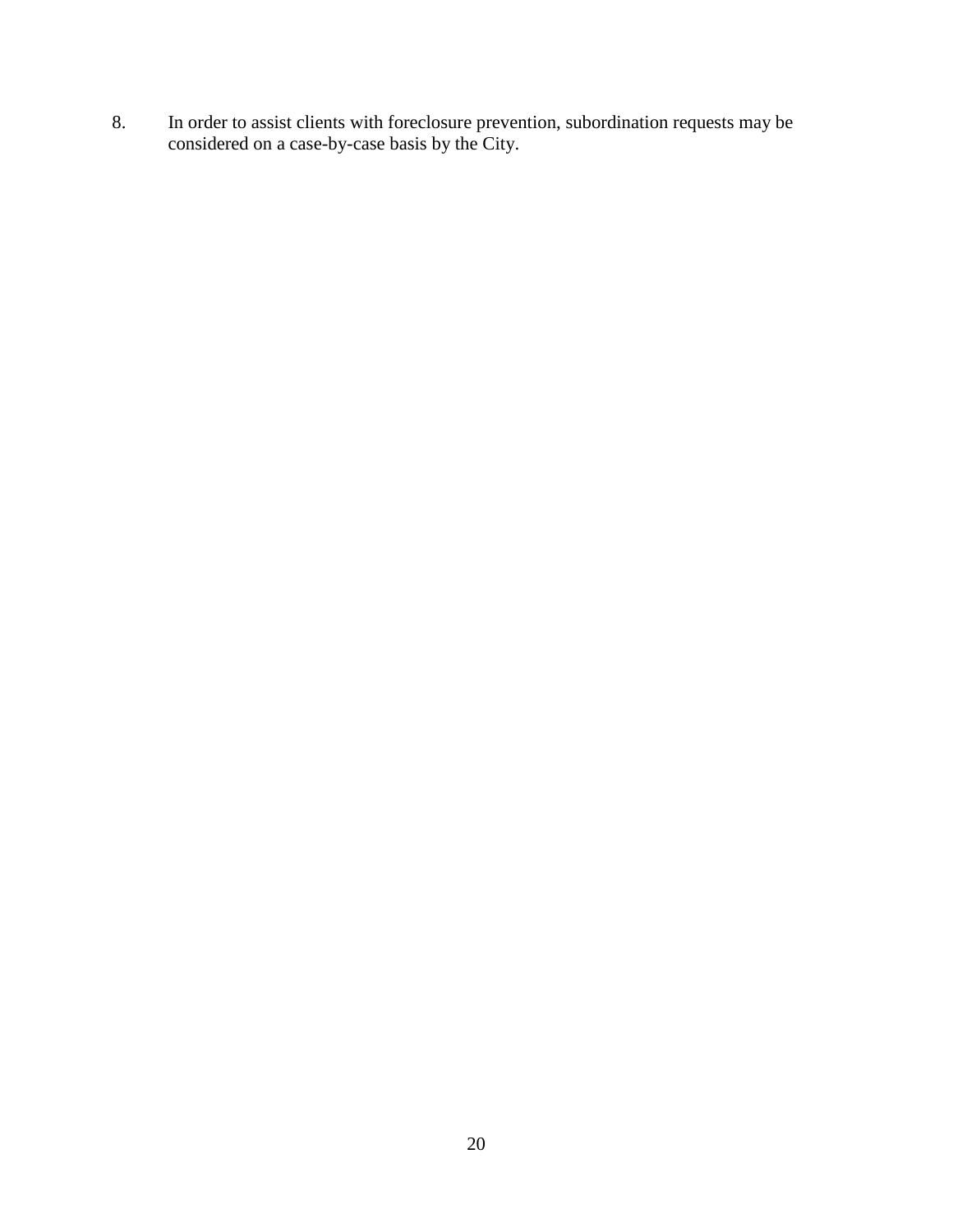8. In order to assist clients with foreclosure prevention, subordination requests may be considered on a case-by-case basis by the City.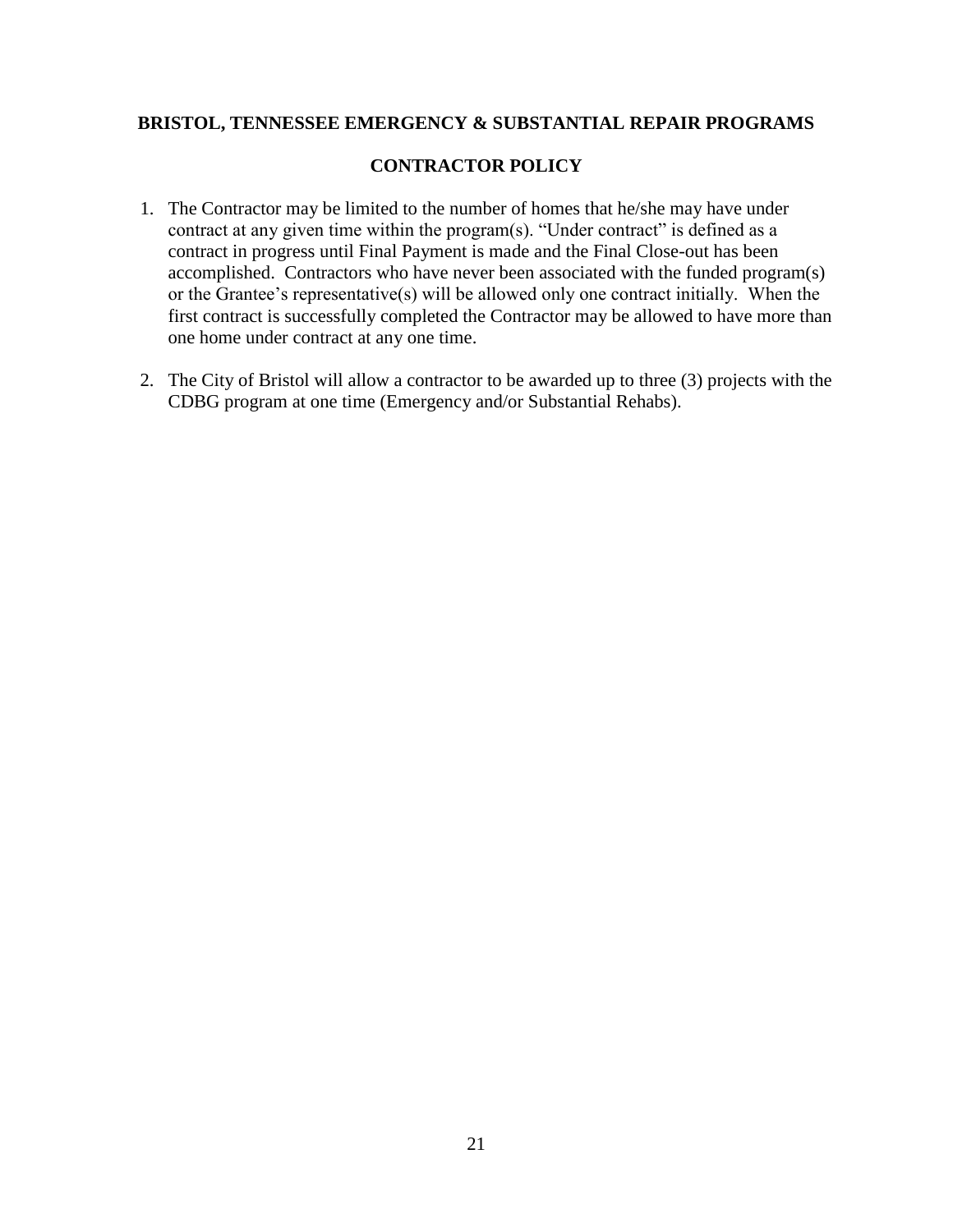## **BRISTOL, TENNESSEE EMERGENCY & SUBSTANTIAL REPAIR PROGRAMS**

## **CONTRACTOR POLICY**

- 1. The Contractor may be limited to the number of homes that he/she may have under contract at any given time within the program(s). "Under contract" is defined as a contract in progress until Final Payment is made and the Final Close-out has been accomplished. Contractors who have never been associated with the funded program(s) or the Grantee's representative(s) will be allowed only one contract initially. When the first contract is successfully completed the Contractor may be allowed to have more than one home under contract at any one time.
- 2. The City of Bristol will allow a contractor to be awarded up to three (3) projects with the CDBG program at one time (Emergency and/or Substantial Rehabs).